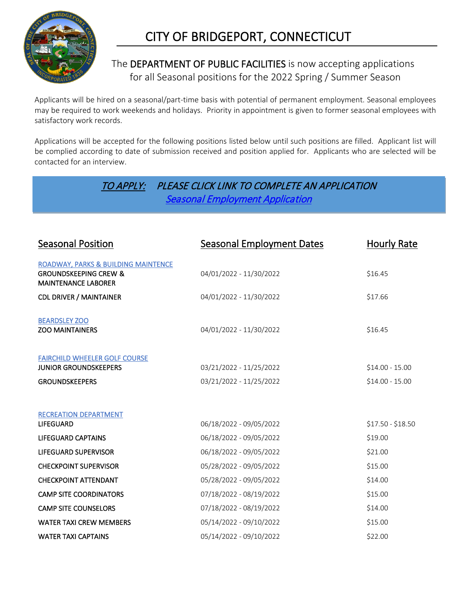

# CITY OF BRIDGEPORT, CONNECTICUT

# The DEPARTMENT OF PUBLIC FACILITIES is now accepting applications for all Seasonal positions for the 2022 Spring / Summer Season

Applicants will be hired on a seasonal/part-time basis with potential of permanent employment. Seasonal employees may be required to work weekends and holidays. Priority in appointment is given to former seasonal employees with satisfactory work records.

Applications will be accepted for the following positions listed below until such positions are filled. Applicant list will be complied according to date of submission received and position applied for. Applicants who are selected will be contacted for an interview.

# TO APPLY: PLEASE CLICK LINK TO COMPLETE AN APPLICATION [Seasonal Employment Application](https://form.jotform.com/220647610219047)

| <b>Seasonal Position</b>                                                                              | <b>Seasonal Employment Dates</b> | Hourly Rate       |
|-------------------------------------------------------------------------------------------------------|----------------------------------|-------------------|
| ROADWAY, PARKS & BUILDING MAINTENCE<br><b>GROUNDSKEEPING CREW &amp;</b><br><b>MAINTENANCE LABORER</b> | 04/01/2022 - 11/30/2022          | \$16.45           |
| <b>CDL DRIVER / MAINTAINER</b>                                                                        | 04/01/2022 - 11/30/2022          | \$17.66           |
| <b>BEARDSLEY ZOO</b><br><b>ZOO MAINTAINERS</b>                                                        | 04/01/2022 - 11/30/2022          | \$16.45           |
| <b>FAIRCHILD WHEELER GOLF COURSE</b><br><b>JUNIOR GROUNDSKEEPERS</b>                                  | 03/21/2022 - 11/25/2022          | $$14.00 - 15.00$  |
| <b>GROUNDSKEEPERS</b>                                                                                 | 03/21/2022 - 11/25/2022          | $$14.00 - 15.00$  |
| RECREATION DEPARTMENT                                                                                 |                                  |                   |
| <b>LIFEGUARD</b>                                                                                      | 06/18/2022 - 09/05/2022          | $$17.50 - $18.50$ |
| <b>LIFEGUARD CAPTAINS</b>                                                                             | 06/18/2022 - 09/05/2022          | \$19.00           |
| <b>LIFEGUARD SUPERVISOR</b>                                                                           | 06/18/2022 - 09/05/2022          | \$21.00           |
| <b>CHECKPOINT SUPERVISOR</b>                                                                          | 05/28/2022 - 09/05/2022          | \$15.00           |
| <b>CHECKPOINT ATTENDANT</b>                                                                           | 05/28/2022 - 09/05/2022          | \$14.00           |
| <b>CAMP SITE COORDINATORS</b>                                                                         | 07/18/2022 - 08/19/2022          | \$15.00           |
| <b>CAMP SITE COUNSELORS</b>                                                                           | 07/18/2022 - 08/19/2022          | \$14.00           |
| <b>WATER TAXI CREW MEMBERS</b>                                                                        | 05/14/2022 - 09/10/2022          | \$15.00           |
| <b>WATER TAXI CAPTAINS</b>                                                                            | 05/14/2022 - 09/10/2022          | \$22.00           |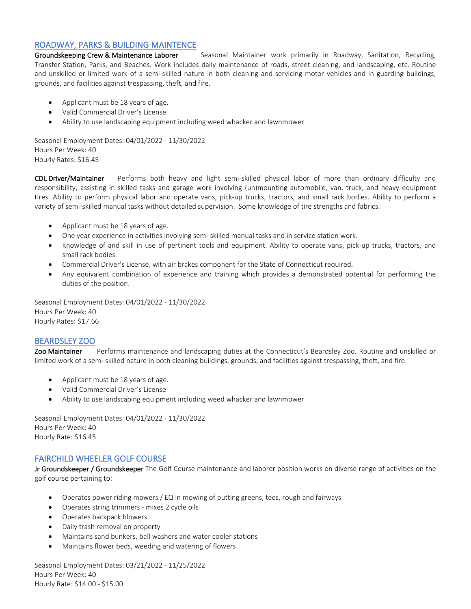## ROADWAY, PARKS & BUILDING MAINTENCE

Groundskeeping Crew & Maintenance Laborer Seasonal Maintainer work primarily in Roadway, Sanitation, Recycling, Transfer Station, Parks, and Beaches. Work includes daily maintenance of roads, street cleaning, and landscaping, etc. Routine and unskilled or limited work of a semi-skilled nature in both cleaning and servicing motor vehicles and in guarding buildings, grounds, and facilities against trespassing, theft, and fire.

- Applicant must be 18 years of age.
- Valid Commercial Driver's License
- Ability to use landscaping equipment including weed whacker and lawnmower

Seasonal Employment Dates: 04/01/2022 - 11/30/2022 Hours Per Week: 40 Hourly Rates: \$16.45

CDL Driver/Maintainer Performs both heavy and light semi-skilled physical labor of more than ordinary difficulty and responsibility, assisting in skilled tasks and garage work involving (un)mounting automobile, van, truck, and heavy equipment tires. Ability to perform physical labor and operate vans, pick-up trucks, tractors, and small rack bodies. Ability to perform a variety of semi-skilled manual tasks without detailed supervision. Some knowledge of tire strengths and fabrics.

- Applicant must be 18 years of age.
- One year experience in activities involving semi-skilled manual tasks and in service station work.
- Knowledge of and skill in use of pertinent tools and equipment. Ability to operate vans, pick-up trucks, tractors, and small rack bodies.
- Commercial Driver's License, with air brakes component for the State of Connecticut required.
- Any equivalent combination of experience and training which provides a demonstrated potential for performing the duties of the position.

Seasonal Employment Dates: 04/01/2022 - 11/30/2022 Hours Per Week: 40 Hourly Rates: \$17.66

# BEARDSLEY ZOO

Zoo Maintainer Performs maintenance and landscaping duties at the Connecticut's Beardsley Zoo. Routine and unskilled or limited work of a semi-skilled nature in both cleaning buildings, grounds, and facilities against trespassing, theft, and fire.

- Applicant must be 18 years of age.
- Valid Commercial Driver's License
- Ability to use landscaping equipment including weed whacker and lawnmower

Seasonal Employment Dates: 04/01/2022 - 11/30/2022 Hours Per Week: 40 Hourly Rate: \$16.45

### FAIRCHILD WHEELER GOLF COURSE

Jr Groundskeeper / Groundskeeper The Golf Course maintenance and laborer position works on diverse range of activities on the golf course pertaining to:

- Operates power riding mowers / EQ in mowing of putting greens, tees, rough and fairways
- Operates string trimmers mixes 2 cycle oils
- Operates backpack blowers
- Daily trash removal on property
- Maintains sand bunkers, ball washers and water cooler stations
- Maintains flower beds, weeding and watering of flowers

Seasonal Employment Dates: 03/21/2022 - 11/25/2022 Hours Per Week: 40 Hourly Rate: \$14.00 - \$15.00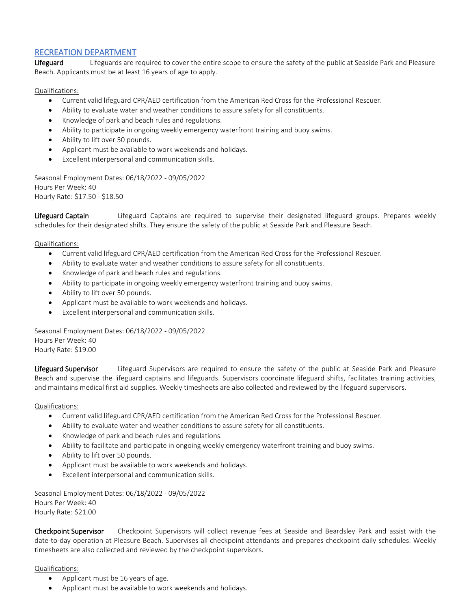### RECREATION DEPARTMENT

Lifeguard Lifeguards are required to cover the entire scope to ensure the safety of the public at Seaside Park and Pleasure Beach. Applicants must be at least 16 years of age to apply.

#### Qualifications:

- Current valid lifeguard CPR/AED certification from the American Red Cross for the Professional Rescuer.
- Ability to evaluate water and weather conditions to assure safety for all constituents.
- Knowledge of park and beach rules and regulations.
- Ability to participate in ongoing weekly emergency waterfront training and buoy swims.
- Ability to lift over 50 pounds.
- Applicant must be available to work weekends and holidays.
- Excellent interpersonal and communication skills.

Seasonal Employment Dates: 06/18/2022 - 09/05/2022 Hours Per Week: 40 Hourly Rate: \$17.50 - \$18.50

Lifeguard Captain **Lifeguard Captains are required to supervise** their designated lifeguard groups. Prepares weekly schedules for their designated shifts. They ensure the safety of the public at Seaside Park and Pleasure Beach.

#### Qualifications:

- Current valid lifeguard CPR/AED certification from the American Red Cross for the Professional Rescuer.
- Ability to evaluate water and weather conditions to assure safety for all constituents.
- Knowledge of park and beach rules and regulations.
- Ability to participate in ongoing weekly emergency waterfront training and buoy swims.
- Ability to lift over 50 pounds.
- Applicant must be available to work weekends and holidays.
- Excellent interpersonal and communication skills.

Seasonal Employment Dates: 06/18/2022 - 09/05/2022 Hours Per Week: 40 Hourly Rate: \$19.00

Lifeguard Supervisor Lifeguard Supervisors are required to ensure the safety of the public at Seaside Park and Pleasure Beach and supervise the lifeguard captains and lifeguards. Supervisors coordinate lifeguard shifts, facilitates training activities, and maintains medical first aid supplies. Weekly timesheets are also collected and reviewed by the lifeguard supervisors.

#### Qualifications:

- Current valid lifeguard CPR/AED certification from the American Red Cross for the Professional Rescuer.
- Ability to evaluate water and weather conditions to assure safety for all constituents.
- Knowledge of park and beach rules and regulations.
- Ability to facilitate and participate in ongoing weekly emergency waterfront training and buoy swims.
- Ability to lift over 50 pounds.
- Applicant must be available to work weekends and holidays.
- Excellent interpersonal and communication skills.

Seasonal Employment Dates: 06/18/2022 - 09/05/2022 Hours Per Week: 40 Hourly Rate: \$21.00

Checkpoint Supervisor Checkpoint Supervisors will collect revenue fees at Seaside and Beardsley Park and assist with the date-to-day operation at Pleasure Beach. Supervises all checkpoint attendants and prepares checkpoint daily schedules. Weekly timesheets are also collected and reviewed by the checkpoint supervisors.

#### Qualifications:

- Applicant must be 16 years of age.
- Applicant must be available to work weekends and holidays.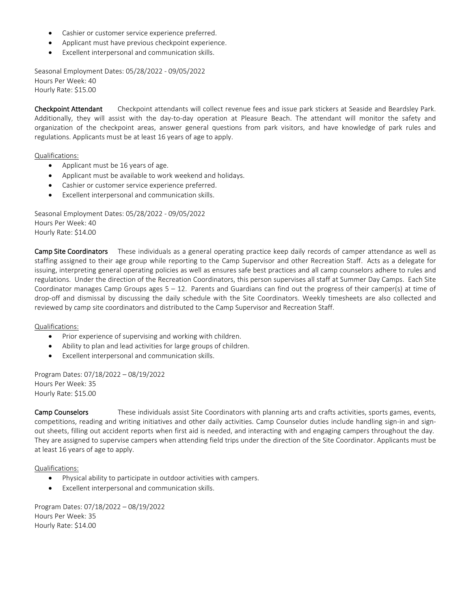- Cashier or customer service experience preferred.
- Applicant must have previous checkpoint experience.
- Excellent interpersonal and communication skills.

Seasonal Employment Dates: 05/28/2022 - 09/05/2022 Hours Per Week: 40 Hourly Rate: \$15.00

Checkpoint Attendant Checkpoint attendants will collect revenue fees and issue park stickers at Seaside and Beardsley Park. Additionally, they will assist with the day-to-day operation at Pleasure Beach. The attendant will monitor the safety and organization of the checkpoint areas, answer general questions from park visitors, and have knowledge of park rules and regulations. Applicants must be at least 16 years of age to apply.

Qualifications:

- Applicant must be 16 years of age.
- Applicant must be available to work weekend and holidays.
- Cashier or customer service experience preferred.
- Excellent interpersonal and communication skills.

Seasonal Employment Dates: 05/28/2022 - 09/05/2022 Hours Per Week: 40 Hourly Rate: \$14.00

Camp Site Coordinators These individuals as a general operating practice keep daily records of camper attendance as well as staffing assigned to their age group while reporting to the Camp Supervisor and other Recreation Staff. Acts as a delegate for issuing, interpreting general operating policies as well as ensures safe best practices and all camp counselors adhere to rules and regulations. Under the direction of the Recreation Coordinators, this person supervises all staff at Summer Day Camps. Each Site Coordinator manages Camp Groups ages  $5 - 12$ . Parents and Guardians can find out the progress of their camper(s) at time of drop-off and dismissal by discussing the daily schedule with the Site Coordinators. Weekly timesheets are also collected and reviewed by camp site coordinators and distributed to the Camp Supervisor and Recreation Staff.

Qualifications:

- Prior experience of supervising and working with children.
- Ability to plan and lead activities for large groups of children.
- Excellent interpersonal and communication skills.

Program Dates: 07/18/2022 – 08/19/2022 Hours Per Week: 35 Hourly Rate: \$15.00

Camp Counselors These individuals assist Site Coordinators with planning arts and crafts activities, sports games, events, competitions, reading and writing initiatives and other daily activities. Camp Counselor duties include handling sign-in and signout sheets, filling out accident reports when first aid is needed, and interacting with and engaging campers throughout the day. They are assigned to supervise campers when attending field trips under the direction of the Site Coordinator. Applicants must be at least 16 years of age to apply.

Qualifications:

- Physical ability to participate in outdoor activities with campers.
- Excellent interpersonal and communication skills.

Program Dates: 07/18/2022 – 08/19/2022 Hours Per Week: 35 Hourly Rate: \$14.00